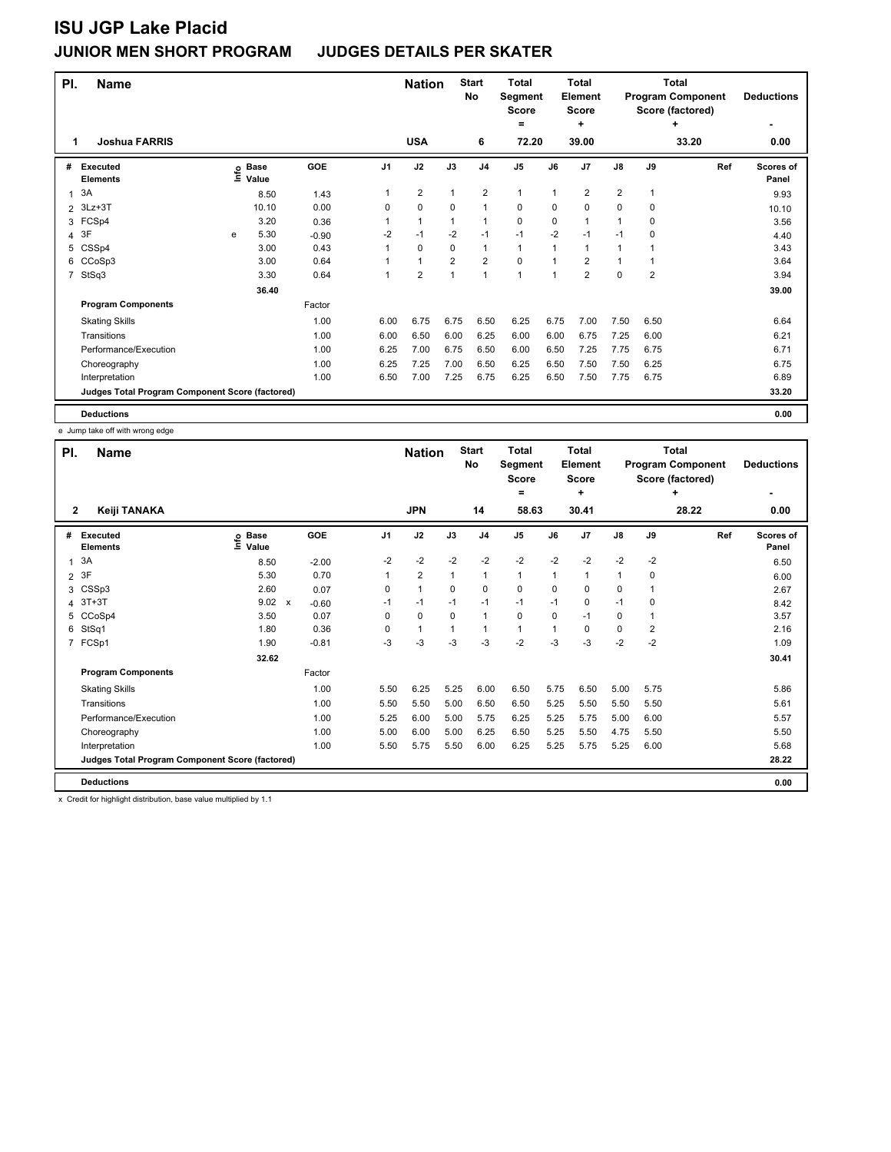| PI.            | <b>Name</b>                                     |   |                                  |         | <b>Nation</b> |              | <b>Start</b><br>No | <b>Total</b><br>Segment<br><b>Score</b> |                | Total<br><b>Element</b><br><b>Score</b> |                |                | <b>Total</b><br><b>Program Component</b><br>Score (factored) | <b>Deductions</b> |                           |
|----------------|-------------------------------------------------|---|----------------------------------|---------|---------------|--------------|--------------------|-----------------------------------------|----------------|-----------------------------------------|----------------|----------------|--------------------------------------------------------------|-------------------|---------------------------|
| 1              | <b>Joshua FARRIS</b>                            |   |                                  |         |               | <b>USA</b>   |                    | 6                                       | $=$<br>72.20   |                                         | ÷<br>39.00     |                |                                                              | ٠<br>33.20        | 0.00                      |
| #              | <b>Executed</b><br><b>Elements</b>              |   | <b>Base</b><br>e Base<br>⊆ Value | GOE     | J1            | J2           | J3                 | J <sub>4</sub>                          | J <sub>5</sub> | J6                                      | J <sub>7</sub> | J8             | J9                                                           | Ref               | <b>Scores of</b><br>Panel |
| 1              | 3A                                              |   | 8.50                             | 1.43    | 1             | 2            |                    | $\overline{2}$                          | $\mathbf{1}$   |                                         | $\overline{2}$ | $\overline{2}$ |                                                              |                   | 9.93                      |
| $\overline{2}$ | $3Lz + 3T$                                      |   | 10.10                            | 0.00    | 0             | $\mathbf 0$  | $\Omega$           | 1                                       | 0              | $\Omega$                                | $\mathbf 0$    | 0              | 0                                                            |                   | 10.10                     |
| 3              | FCSp4                                           |   | 3.20                             | 0.36    | $\mathbf{1}$  | $\mathbf{1}$ |                    | 1                                       | 0              | $\Omega$                                | $\overline{1}$ | $\overline{1}$ | 0                                                            |                   | 3.56                      |
| 4              | 3F                                              | e | 5.30                             | $-0.90$ | $-2$          | $-1$         | $-2$               | $-1$                                    | $-1$           | $-2$                                    | $-1$           | $-1$           | $\mathbf 0$                                                  |                   | 4.40                      |
| 5              | CSSp4                                           |   | 3.00                             | 0.43    | $\mathbf{1}$  | 0            | 0                  | 1                                       | $\mathbf{1}$   | $\overline{1}$                          | $\overline{1}$ | 1              |                                                              |                   | 3.43                      |
| 6              | CCoSp3                                          |   | 3.00                             | 0.64    | 1             | $\mathbf{1}$ | $\overline{2}$     | $\overline{2}$                          | 0              | $\overline{1}$                          | $\overline{2}$ | 1              |                                                              |                   | 3.64                      |
| 7              | StSq3                                           |   | 3.30                             | 0.64    | 1             | 2            |                    | $\overline{1}$                          | 1              | 1                                       | $\overline{2}$ | 0              | $\overline{2}$                                               |                   | 3.94                      |
|                |                                                 |   | 36.40                            |         |               |              |                    |                                         |                |                                         |                |                |                                                              |                   | 39.00                     |
|                | <b>Program Components</b>                       |   |                                  | Factor  |               |              |                    |                                         |                |                                         |                |                |                                                              |                   |                           |
|                | <b>Skating Skills</b>                           |   |                                  | 1.00    | 6.00          | 6.75         | 6.75               | 6.50                                    | 6.25           | 6.75                                    | 7.00           | 7.50           | 6.50                                                         |                   | 6.64                      |
|                | Transitions                                     |   |                                  | 1.00    | 6.00          | 6.50         | 6.00               | 6.25                                    | 6.00           | 6.00                                    | 6.75           | 7.25           | 6.00                                                         |                   | 6.21                      |
|                | Performance/Execution                           |   |                                  | 1.00    | 6.25          | 7.00         | 6.75               | 6.50                                    | 6.00           | 6.50                                    | 7.25           | 7.75           | 6.75                                                         |                   | 6.71                      |
|                | Choreography                                    |   |                                  | 1.00    | 6.25          | 7.25         | 7.00               | 6.50                                    | 6.25           | 6.50                                    | 7.50           | 7.50           | 6.25                                                         |                   | 6.75                      |
|                | Interpretation                                  |   |                                  | 1.00    | 6.50          | 7.00         | 7.25               | 6.75                                    | 6.25           | 6.50                                    | 7.50           | 7.75           | 6.75                                                         |                   | 6.89                      |
|                | Judges Total Program Component Score (factored) |   |                                  |         |               |              |                    |                                         |                |                                         |                |                |                                                              |                   | 33.20                     |
|                | <b>Deductions</b>                               |   |                                  |         |               |              |                    |                                         |                |                                         |                |                |                                                              |                   | 0.00                      |

e Jump take off with wrong edge

| PI.            | <b>Name</b>                                     |                            |                         | <b>Nation</b> |                | <b>Start</b><br><b>No</b> | <b>Total</b><br>Segment<br><b>Score</b><br>۰ |       | <b>Total</b><br><b>Element</b><br><b>Score</b><br>÷ |       |               | <b>Total</b><br><b>Program Component</b><br>Score (factored)<br>٠ | <b>Deductions</b> |                           |
|----------------|-------------------------------------------------|----------------------------|-------------------------|---------------|----------------|---------------------------|----------------------------------------------|-------|-----------------------------------------------------|-------|---------------|-------------------------------------------------------------------|-------------------|---------------------------|
| $\overline{2}$ | Keiji TANAKA                                    |                            |                         |               | <b>JPN</b>     |                           | 14                                           | 58.63 |                                                     | 30.41 |               |                                                                   | 28.22             | 0.00                      |
| #              | <b>Executed</b><br><b>Elements</b>              | e Base<br>E Value<br>Value | <b>GOE</b>              | J1            | J2             | J3                        | J <sub>4</sub>                               | J5    | J6                                                  | J7    | $\mathsf{J}8$ | J9                                                                | Ref               | <b>Scores of</b><br>Panel |
| $\overline{1}$ | 3A                                              | 8.50                       | $-2.00$                 | $-2$          | $-2$           | $-2$                      | $-2$                                         | $-2$  | $-2$                                                | $-2$  | $-2$          | $-2$                                                              |                   | 6.50                      |
| $\overline{2}$ | 3F                                              | 5.30                       | 0.70                    | 1             | $\overline{2}$ | $\mathbf{1}$              | $\mathbf{1}$                                 | 1     | 1                                                   | 1     | 1             | 0                                                                 |                   | 6.00                      |
| 3              | CSSp3                                           | 2.60                       | 0.07                    | 0             | 1              | 0                         | $\mathbf 0$                                  | 0     | $\Omega$                                            | 0     | 0             | 1                                                                 |                   | 2.67                      |
| 4              | $3T+3T$                                         | 9.02                       | $\mathsf{x}$<br>$-0.60$ | $-1$          | $-1$           | $-1$                      | $-1$                                         | $-1$  | $-1$                                                | 0     | $-1$          | $\Omega$                                                          |                   | 8.42                      |
| 5              | CCoSp4                                          | 3.50                       | 0.07                    | $\Omega$      | $\Omega$       | $\Omega$                  | $\mathbf{1}$                                 | 0     | 0                                                   | $-1$  | 0             | 1                                                                 |                   | 3.57                      |
| 6              | StSq1                                           | 1.80                       | 0.36                    | 0             | 1              | 1                         | $\mathbf{1}$                                 | 1     | 1                                                   | 0     | 0             | $\overline{2}$                                                    |                   | 2.16                      |
|                | 7 FCSp1                                         | 1.90                       | $-0.81$                 | $-3$          | -3             | $-3$                      | $-3$                                         | $-2$  | $-3$                                                | $-3$  | $-2$          | $-2$                                                              |                   | 1.09                      |
|                |                                                 | 32.62                      |                         |               |                |                           |                                              |       |                                                     |       |               |                                                                   |                   | 30.41                     |
|                | <b>Program Components</b>                       |                            | Factor                  |               |                |                           |                                              |       |                                                     |       |               |                                                                   |                   |                           |
|                | <b>Skating Skills</b>                           |                            | 1.00                    | 5.50          | 6.25           | 5.25                      | 6.00                                         | 6.50  | 5.75                                                | 6.50  | 5.00          | 5.75                                                              |                   | 5.86                      |
|                | Transitions                                     |                            | 1.00                    | 5.50          | 5.50           | 5.00                      | 6.50                                         | 6.50  | 5.25                                                | 5.50  | 5.50          | 5.50                                                              |                   | 5.61                      |
|                | Performance/Execution                           |                            | 1.00                    | 5.25          | 6.00           | 5.00                      | 5.75                                         | 6.25  | 5.25                                                | 5.75  | 5.00          | 6.00                                                              |                   | 5.57                      |
|                | Choreography                                    |                            | 1.00                    | 5.00          | 6.00           | 5.00                      | 6.25                                         | 6.50  | 5.25                                                | 5.50  | 4.75          | 5.50                                                              |                   | 5.50                      |
|                | Interpretation                                  |                            | 1.00                    | 5.50          | 5.75           | 5.50                      | 6.00                                         | 6.25  | 5.25                                                | 5.75  | 5.25          | 6.00                                                              |                   | 5.68                      |
|                | Judges Total Program Component Score (factored) |                            |                         |               |                |                           |                                              |       |                                                     |       |               |                                                                   |                   | 28.22                     |
|                | <b>Deductions</b>                               |                            |                         |               |                |                           |                                              |       |                                                     |       |               |                                                                   |                   | 0.00                      |

x Credit for highlight distribution, base value multiplied by 1.1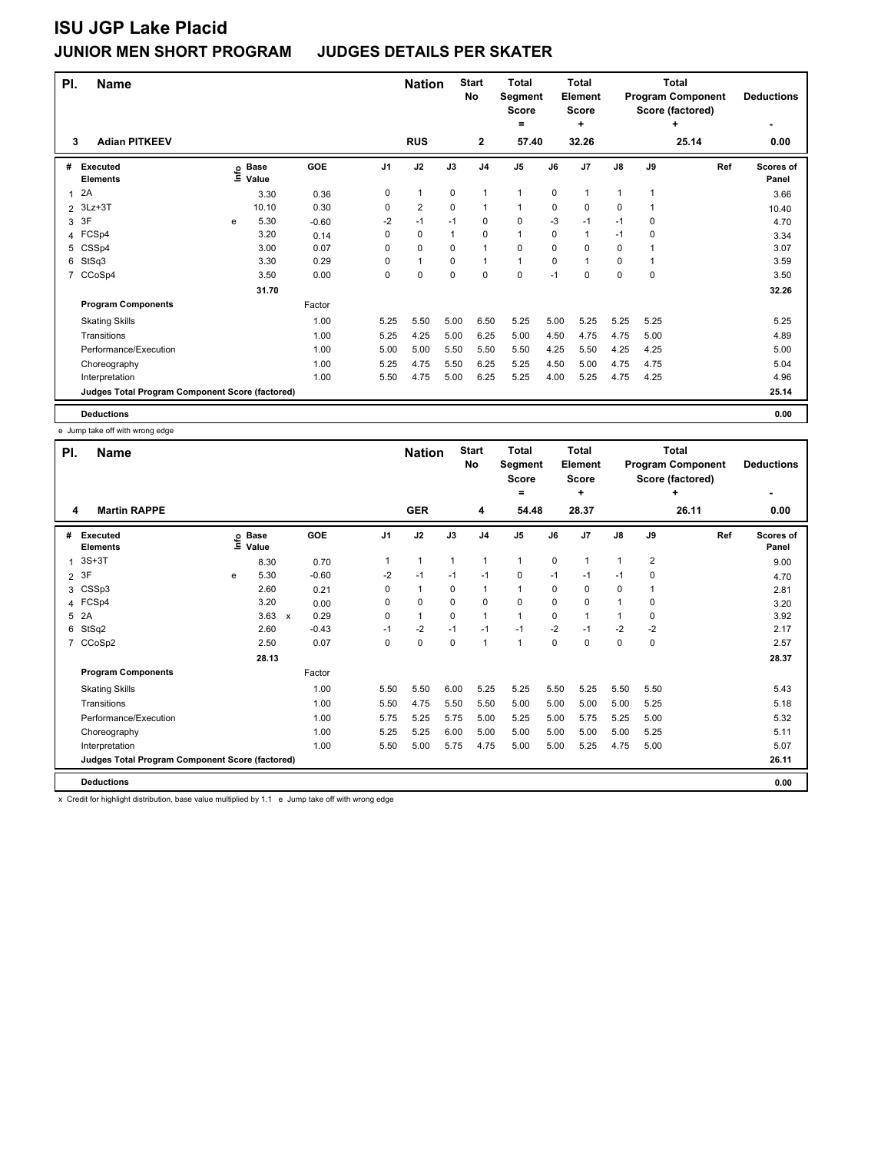| PI.            | <b>Name</b>                                     |      |                      | <b>Nation</b> |      | <b>Start</b><br>No | <b>Total</b><br>Segment<br><b>Score</b> |                | <b>Total</b><br>Element<br><b>Score</b> |             |                | <b>Total</b><br><b>Program Component</b><br>Score (factored) | <b>Deductions</b> |       |                           |
|----------------|-------------------------------------------------|------|----------------------|---------------|------|--------------------|-----------------------------------------|----------------|-----------------------------------------|-------------|----------------|--------------------------------------------------------------|-------------------|-------|---------------------------|
|                |                                                 |      |                      |               |      |                    |                                         |                | $\equiv$                                |             | ÷              |                                                              |                   | ٠     |                           |
| 3              | <b>Adian PITKEEV</b>                            |      |                      |               |      | <b>RUS</b>         |                                         | $\mathbf{2}$   | 57.40                                   |             | 32.26          |                                                              |                   | 25.14 | 0.00                      |
| #              | Executed<br><b>Elements</b>                     | lnfo | <b>Base</b><br>Value | GOE           | J1   | J2                 | J3                                      | J <sub>4</sub> | J5                                      | J6          | J <sub>7</sub> | $\mathsf{J}8$                                                | J9                | Ref   | <b>Scores of</b><br>Panel |
| $\mathbf{1}$   | 2A                                              |      | 3.30                 | 0.36          | 0    | $\mathbf{1}$       | $\mathbf 0$                             | 1              | 1                                       | $\mathbf 0$ | 1              |                                                              |                   |       | 3.66                      |
| $\overline{2}$ | $3Lz + 3T$                                      |      | 10.10                | 0.30          | 0    | $\overline{2}$     | $\Omega$                                | 1              | 1                                       | $\Omega$    | 0              | 0                                                            |                   |       | 10.40                     |
| 3              | 3F                                              | e    | 5.30                 | $-0.60$       | $-2$ | $-1$               | $-1$                                    | $\mathbf 0$    | 0                                       | $-3$        | $-1$           | $-1$                                                         | 0                 |       | 4.70                      |
| 4              | FCSp4                                           |      | 3.20                 | 0.14          | 0    | 0                  |                                         | $\mathbf 0$    | $\mathbf{1}$                            | 0           | $\overline{1}$ | $-1$                                                         | $\mathbf 0$       |       | 3.34                      |
| 5              | CSSp4                                           |      | 3.00                 | 0.07          | 0    | $\mathbf 0$        | 0                                       | 1              | 0                                       | 0           | $\mathbf 0$    | 0                                                            |                   |       | 3.07                      |
| 6              | StSq3                                           |      | 3.30                 | 0.29          | 0    | $\mathbf{1}$       | $\mathbf 0$                             | 1              | $\mathbf{1}$                            | 0           | $\overline{1}$ | 0                                                            |                   |       | 3.59                      |
| 7              | CCoSp4                                          |      | 3.50                 | 0.00          | 0    | 0                  | $\mathbf 0$                             | 0              | 0                                       | $-1$        | 0              | 0                                                            | 0                 |       | 3.50                      |
|                |                                                 |      | 31.70                |               |      |                    |                                         |                |                                         |             |                |                                                              |                   |       | 32.26                     |
|                | <b>Program Components</b>                       |      |                      | Factor        |      |                    |                                         |                |                                         |             |                |                                                              |                   |       |                           |
|                | <b>Skating Skills</b>                           |      |                      | 1.00          | 5.25 | 5.50               | 5.00                                    | 6.50           | 5.25                                    | 5.00        | 5.25           | 5.25                                                         | 5.25              |       | 5.25                      |
|                | Transitions                                     |      |                      | 1.00          | 5.25 | 4.25               | 5.00                                    | 6.25           | 5.00                                    | 4.50        | 4.75           | 4.75                                                         | 5.00              |       | 4.89                      |
|                | Performance/Execution                           |      |                      | 1.00          | 5.00 | 5.00               | 5.50                                    | 5.50           | 5.50                                    | 4.25        | 5.50           | 4.25                                                         | 4.25              |       | 5.00                      |
|                | Choreography                                    |      |                      | 1.00          | 5.25 | 4.75               | 5.50                                    | 6.25           | 5.25                                    | 4.50        | 5.00           | 4.75                                                         | 4.75              |       | 5.04                      |
|                | Interpretation                                  |      |                      | 1.00          | 5.50 | 4.75               | 5.00                                    | 6.25           | 5.25                                    | 4.00        | 5.25           | 4.75                                                         | 4.25              |       | 4.96                      |
|                | Judges Total Program Component Score (factored) |      |                      |               |      |                    |                                         |                |                                         |             |                |                                                              |                   |       | 25.14                     |
|                | <b>Deductions</b>                               |      |                      |               |      |                    |                                         |                |                                         |             |                |                                                              |                   |       | 0.00                      |

e Jump take off with wrong edge

| PI.<br><b>Name</b> |                                                 |   |                            |              |         |      | <b>Nation</b> |          | <b>Start</b><br>No | <b>Total</b><br>Segment<br><b>Score</b><br>۰ |             | <b>Total</b><br>Element<br><b>Score</b><br>÷ |               |                | <b>Total</b><br><b>Program Component</b><br>Score (factored)<br>٠ | <b>Deductions</b>                |
|--------------------|-------------------------------------------------|---|----------------------------|--------------|---------|------|---------------|----------|--------------------|----------------------------------------------|-------------|----------------------------------------------|---------------|----------------|-------------------------------------------------------------------|----------------------------------|
| 4                  | <b>Martin RAPPE</b>                             |   |                            |              |         |      | <b>GER</b>    |          | 4                  | 54.48                                        |             | 28.37                                        |               |                | 26.11                                                             | $\overline{\phantom{a}}$<br>0.00 |
| #                  | <b>Executed</b><br><b>Elements</b>              |   | e Base<br>E Value<br>Value |              | GOE     | J1   | J2            | J3       | J <sub>4</sub>     | J5                                           | J6          | J7                                           | $\mathsf{J}8$ | J9             | Ref                                                               | <b>Scores of</b><br>Panel        |
| 1                  | $3S+3T$                                         |   | 8.30                       |              | 0.70    | 1    | $\mathbf{1}$  | 1        | 1                  | $\mathbf{1}$                                 | $\mathbf 0$ | 1                                            | 1             | $\overline{2}$ |                                                                   | 9.00                             |
| $\overline{2}$     | 3F                                              | e | 5.30                       |              | $-0.60$ | $-2$ | $-1$          | $-1$     | $-1$               | 0                                            | $-1$        | $-1$                                         | $-1$          | 0              |                                                                   | 4.70                             |
| 3                  | CSSp3                                           |   | 2.60                       |              | 0.21    | 0    | $\mathbf{1}$  | $\Omega$ | 1                  | 1                                            | $\Omega$    | 0                                            | 0             |                |                                                                   | 2.81                             |
| 4                  | FCSp4                                           |   | 3.20                       |              | 0.00    | 0    | $\Omega$      | $\Omega$ | $\Omega$           | 0                                            | $\Omega$    | $\Omega$                                     |               | 0              |                                                                   | 3.20                             |
| 5                  | 2A                                              |   | 3.63                       | $\mathsf{x}$ | 0.29    | 0    | 1             | 0        | $\overline{1}$     | 1                                            | 0           | 1                                            | 1             | $\Omega$       |                                                                   | 3.92                             |
| 6                  | StSq2                                           |   | 2.60                       |              | $-0.43$ | $-1$ | $-2$          | $-1$     | $-1$               | $-1$                                         | $-2$        | $-1$                                         | $-2$          | $-2$           |                                                                   | 2.17                             |
| $\overline{7}$     | CCoSp2                                          |   | 2.50                       |              | 0.07    | 0    | $\mathbf 0$   | $\Omega$ | $\overline{1}$     | 1                                            | $\Omega$    | $\Omega$                                     | 0             | 0              |                                                                   | 2.57                             |
|                    |                                                 |   | 28.13                      |              |         |      |               |          |                    |                                              |             |                                              |               |                |                                                                   | 28.37                            |
|                    | <b>Program Components</b>                       |   |                            |              | Factor  |      |               |          |                    |                                              |             |                                              |               |                |                                                                   |                                  |
|                    | <b>Skating Skills</b>                           |   |                            |              | 1.00    | 5.50 | 5.50          | 6.00     | 5.25               | 5.25                                         | 5.50        | 5.25                                         | 5.50          | 5.50           |                                                                   | 5.43                             |
|                    | Transitions                                     |   |                            |              | 1.00    | 5.50 | 4.75          | 5.50     | 5.50               | 5.00                                         | 5.00        | 5.00                                         | 5.00          | 5.25           |                                                                   | 5.18                             |
|                    | Performance/Execution                           |   |                            |              | 1.00    | 5.75 | 5.25          | 5.75     | 5.00               | 5.25                                         | 5.00        | 5.75                                         | 5.25          | 5.00           |                                                                   | 5.32                             |
|                    | Choreography                                    |   |                            |              | 1.00    | 5.25 | 5.25          | 6.00     | 5.00               | 5.00                                         | 5.00        | 5.00                                         | 5.00          | 5.25           |                                                                   | 5.11                             |
|                    | Interpretation                                  |   |                            |              | 1.00    | 5.50 | 5.00          | 5.75     | 4.75               | 5.00                                         | 5.00        | 5.25                                         | 4.75          | 5.00           |                                                                   | 5.07                             |
|                    | Judges Total Program Component Score (factored) |   |                            |              |         |      |               |          |                    |                                              |             |                                              |               |                |                                                                   | 26.11                            |
|                    | <b>Deductions</b>                               |   |                            |              |         |      |               |          |                    |                                              |             |                                              |               |                |                                                                   | 0.00                             |

x Credit for highlight distribution, base value multiplied by 1.1 e Jump take off with wrong edge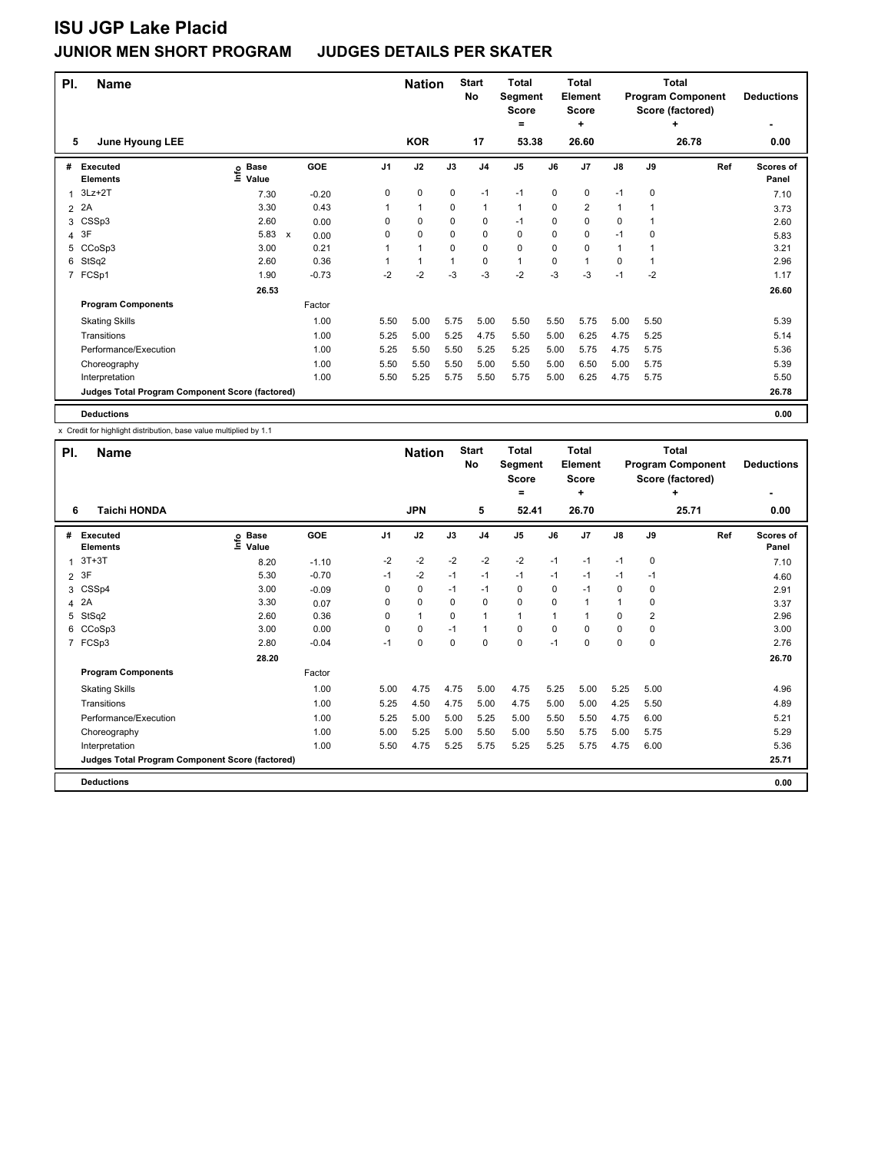| PI.            | <b>Name</b>                                     |                                  |                      |          | <b>Nation</b> |             | <b>Start</b><br>No | Total<br>Segment<br><b>Score</b> |             | Total<br>Element<br><b>Score</b> |      |             | Total<br><b>Program Component</b><br>Score (factored) | <b>Deductions</b>  |
|----------------|-------------------------------------------------|----------------------------------|----------------------|----------|---------------|-------------|--------------------|----------------------------------|-------------|----------------------------------|------|-------------|-------------------------------------------------------|--------------------|
| 5              |                                                 |                                  |                      |          | <b>KOR</b>    |             | 17                 | ۰<br>53.38                       |             | ٠<br>26.60                       |      |             | $\ddot{}$<br>26.78                                    | ۰<br>0.00          |
|                | June Hyoung LEE                                 |                                  |                      |          |               |             |                    |                                  |             |                                  |      |             |                                                       |                    |
| #              | Executed<br><b>Elements</b>                     | <b>Base</b><br>e Base<br>⊆ Value | GOE                  | J1       | J2            | J3          | J <sub>4</sub>     | J5                               | J6          | J <sub>7</sub>                   | J8   | J9          | Ref                                                   | Scores of<br>Panel |
| 1              | $3Lz + 2T$                                      | 7.30                             | $-0.20$              | 0        | $\mathbf 0$   | $\mathbf 0$ | $-1$               | $-1$                             | $\mathbf 0$ | $\mathbf 0$                      | $-1$ | $\mathbf 0$ |                                                       | 7.10               |
| $\overline{2}$ | 2A                                              | 3.30                             | 0.43                 |          | 1             | $\Omega$    | $\mathbf{1}$       | $\mathbf{1}$                     | $\Omega$    | $\overline{2}$                   |      |             |                                                       | 3.73               |
| 3              | CSSp3                                           | 2.60                             | 0.00                 | 0        | $\mathbf 0$   | $\Omega$    | 0                  | $-1$                             | 0           | $\mathbf 0$                      | 0    |             |                                                       | 2.60               |
| 4              | 3F                                              | 5.83                             | $\mathsf{x}$<br>0.00 | $\Omega$ | $\mathbf 0$   | 0           | $\mathbf 0$        | 0                                | 0           | $\mathbf 0$                      | $-1$ | 0           |                                                       | 5.83               |
| 5              | CCoSp3                                          | 3.00                             | 0.21                 |          | $\mathbf{1}$  | $\Omega$    | $\mathbf 0$        | 0                                | 0           | $\mathbf 0$                      |      |             |                                                       | 3.21               |
| 6              | StSq2                                           | 2.60                             | 0.36                 |          | $\mathbf{1}$  |             | 0                  | $\mathbf{1}$                     | 0           | $\overline{1}$                   | 0    | 1           |                                                       | 2.96               |
| 7              | FCSp1                                           | 1.90                             | $-0.73$              | $-2$     | $-2$          | $-3$        | $-3$               | $-2$                             | $-3$        | $-3$                             | $-1$ | $-2$        |                                                       | 1.17               |
|                |                                                 | 26.53                            |                      |          |               |             |                    |                                  |             |                                  |      |             |                                                       | 26.60              |
|                | <b>Program Components</b>                       |                                  | Factor               |          |               |             |                    |                                  |             |                                  |      |             |                                                       |                    |
|                | <b>Skating Skills</b>                           |                                  | 1.00                 | 5.50     | 5.00          | 5.75        | 5.00               | 5.50                             | 5.50        | 5.75                             | 5.00 | 5.50        |                                                       | 5.39               |
|                | Transitions                                     |                                  | 1.00                 | 5.25     | 5.00          | 5.25        | 4.75               | 5.50                             | 5.00        | 6.25                             | 4.75 | 5.25        |                                                       | 5.14               |
|                | Performance/Execution                           |                                  | 1.00                 | 5.25     | 5.50          | 5.50        | 5.25               | 5.25                             | 5.00        | 5.75                             | 4.75 | 5.75        |                                                       | 5.36               |
|                | Choreography                                    |                                  | 1.00                 | 5.50     | 5.50          | 5.50        | 5.00               | 5.50                             | 5.00        | 6.50                             | 5.00 | 5.75        |                                                       | 5.39               |
|                | Interpretation                                  |                                  | 1.00                 | 5.50     | 5.25          | 5.75        | 5.50               | 5.75                             | 5.00        | 6.25                             | 4.75 | 5.75        |                                                       | 5.50               |
|                | Judges Total Program Component Score (factored) |                                  |                      |          |               |             |                    |                                  |             |                                  |      |             |                                                       | 26.78              |
|                | <b>Deductions</b>                               |                                  |                      |          |               |             |                    |                                  |             |                                  |      |             |                                                       | 0.00               |

x Credit for highlight distribution, base value multiplied by 1.1

| PI.          | <b>Name</b>                                     |                              |         | <b>Nation</b>  |            | <b>Start</b><br>No | <b>Total</b><br>Segment<br><b>Score</b><br>$=$ |       | Total<br>Element<br><b>Score</b><br>÷ |       |      | <b>Total</b><br><b>Program Component</b><br>Score (factored)<br>٠ | <b>Deductions</b> |                    |
|--------------|-------------------------------------------------|------------------------------|---------|----------------|------------|--------------------|------------------------------------------------|-------|---------------------------------------|-------|------|-------------------------------------------------------------------|-------------------|--------------------|
| 6            | <b>Taichi HONDA</b>                             |                              |         |                | <b>JPN</b> |                    | 5                                              | 52.41 |                                       | 26.70 |      |                                                                   | 25.71             | 0.00               |
| #            | Executed<br><b>Elements</b>                     | <b>Base</b><br>١mfo<br>Value | GOE     | J <sub>1</sub> | J2         | J3                 | J <sub>4</sub>                                 | J5    | J6                                    | J7    | J8   | J9                                                                | Ref               | Scores of<br>Panel |
| $\mathbf{1}$ | $3T+3T$                                         | 8.20                         | $-1.10$ | $-2$           | $-2$       | $-2$               | $-2$                                           | $-2$  | $-1$                                  | $-1$  | $-1$ | 0                                                                 |                   | 7.10               |
|              | 2 3F                                            | 5.30                         | $-0.70$ | $-1$           | $-2$       | $-1$               | $-1$                                           | $-1$  | $-1$                                  | $-1$  | $-1$ | -1                                                                |                   | 4.60               |
| 3            | CSSp4                                           | 3.00                         | $-0.09$ | 0              | 0          | $-1$               | $-1$                                           | 0     | 0                                     | $-1$  | 0    | 0                                                                 |                   | 2.91               |
|              | 4 2A                                            | 3.30                         | 0.07    | 0              | $\Omega$   | 0                  | 0                                              | 0     | $\Omega$                              |       |      | 0                                                                 |                   | 3.37               |
|              | 5 StSq2                                         | 2.60                         | 0.36    | 0              | 1          | 0                  | 1                                              | 1     | 1                                     | -1    | 0    | $\overline{2}$                                                    |                   | 2.96               |
| 6            | CCoSp3                                          | 3.00                         | 0.00    | 0              | 0          | $-1$               | 1                                              | 0     | 0                                     | 0     | 0    | 0                                                                 |                   | 3.00               |
|              | 7 FCSp3                                         | 2.80                         | $-0.04$ | $-1$           | 0          | 0                  | 0                                              | 0     | $-1$                                  | 0     | 0    | 0                                                                 |                   | 2.76               |
|              |                                                 | 28.20                        |         |                |            |                    |                                                |       |                                       |       |      |                                                                   |                   | 26.70              |
|              | <b>Program Components</b>                       |                              | Factor  |                |            |                    |                                                |       |                                       |       |      |                                                                   |                   |                    |
|              | <b>Skating Skills</b>                           |                              | 1.00    | 5.00           | 4.75       | 4.75               | 5.00                                           | 4.75  | 5.25                                  | 5.00  | 5.25 | 5.00                                                              |                   | 4.96               |
|              | Transitions                                     |                              | 1.00    | 5.25           | 4.50       | 4.75               | 5.00                                           | 4.75  | 5.00                                  | 5.00  | 4.25 | 5.50                                                              |                   | 4.89               |
|              | Performance/Execution                           |                              | 1.00    | 5.25           | 5.00       | 5.00               | 5.25                                           | 5.00  | 5.50                                  | 5.50  | 4.75 | 6.00                                                              |                   | 5.21               |
|              | Choreography                                    |                              | 1.00    | 5.00           | 5.25       | 5.00               | 5.50                                           | 5.00  | 5.50                                  | 5.75  | 5.00 | 5.75                                                              |                   | 5.29               |
|              | Interpretation                                  |                              | 1.00    | 5.50           | 4.75       | 5.25               | 5.75                                           | 5.25  | 5.25                                  | 5.75  | 4.75 | 6.00                                                              |                   | 5.36               |
|              | Judges Total Program Component Score (factored) |                              |         |                |            |                    |                                                |       |                                       |       |      |                                                                   |                   | 25.71              |
|              | <b>Deductions</b>                               |                              |         |                |            |                    |                                                |       |                                       |       |      |                                                                   |                   | 0.00               |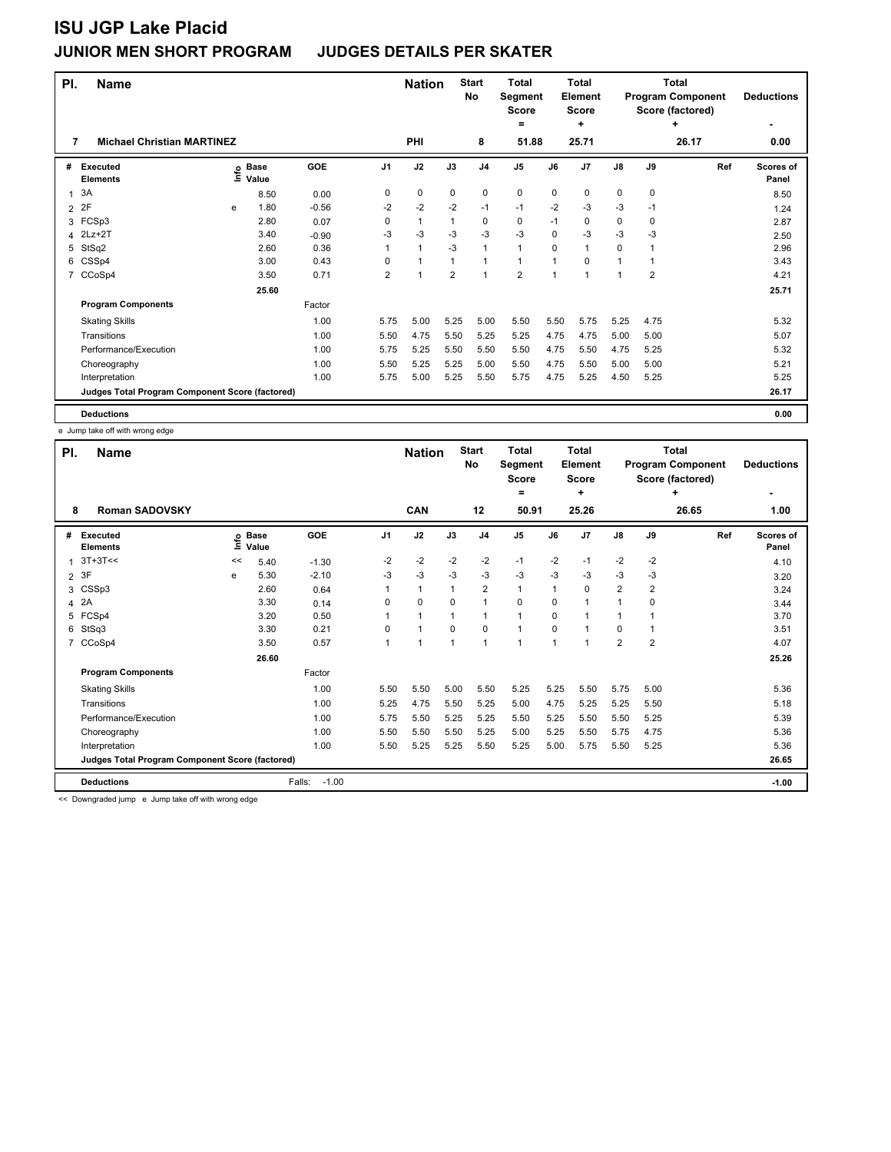| PI.            | <b>Name</b>                                     |   |                   |         |      | <b>Nation</b> |                | <b>Start</b><br>No | Total<br>Segment<br><b>Score</b> |                          | Total<br>Element<br><b>Score</b> |      |                | Total<br><b>Program Component</b><br>Score (factored) | <b>Deductions</b>         |
|----------------|-------------------------------------------------|---|-------------------|---------|------|---------------|----------------|--------------------|----------------------------------|--------------------------|----------------------------------|------|----------------|-------------------------------------------------------|---------------------------|
|                |                                                 |   |                   |         |      |               |                |                    | $=$                              |                          | ÷                                |      |                | ٠                                                     |                           |
| 7              | <b>Michael Christian MARTINEZ</b>               |   |                   |         |      | PHI           |                | 8                  | 51.88                            |                          | 25.71                            |      |                | 26.17                                                 | 0.00                      |
| #              | <b>Executed</b><br><b>Elements</b>              |   | e Base<br>⊆ Value | GOE     | J1   | J2            | J3             | J <sub>4</sub>     | J5                               | J6                       | J <sub>7</sub>                   | J8   | J9             | Ref                                                   | <b>Scores of</b><br>Panel |
| 1              | 3A                                              |   | 8.50              | 0.00    | 0    | $\mathbf 0$   | $\mathbf 0$    | 0                  | $\mathbf 0$                      | $\mathbf 0$              | $\mathbf 0$                      | 0    | $\mathbf 0$    |                                                       | 8.50                      |
| $\overline{2}$ | 2F                                              | e | 1.80              | $-0.56$ | $-2$ | $-2$          | $-2$           | $-1$               | $-1$                             | $-2$                     | $-3$                             | -3   | $-1$           |                                                       | 1.24                      |
| 3              | FCSp3                                           |   | 2.80              | 0.07    | 0    | $\mathbf{1}$  |                | 0                  | 0                                | $-1$                     | $\mathbf 0$                      | 0    | 0              |                                                       | 2.87                      |
| 4              | $2Lz+2T$                                        |   | 3.40              | $-0.90$ | $-3$ | $-3$          | $-3$           | $-3$               | $-3$                             | $\mathbf 0$              | $-3$                             | $-3$ | $-3$           |                                                       | 2.50                      |
| 5              | StSq2                                           |   | 2.60              | 0.36    |      | $\mathbf{1}$  | $-3$           | $\mathbf{1}$       | $\mathbf{1}$                     | 0                        | $\overline{1}$                   | 0    |                |                                                       | 2.96                      |
| 6              | CSSp4                                           |   | 3.00              | 0.43    | 0    | $\mathbf{1}$  | $\mathbf 1$    | 1                  | $\mathbf{1}$                     | 1                        | 0                                |      |                |                                                       | 3.43                      |
| $\overline{7}$ | CCoSp4                                          |   | 3.50              | 0.71    | 2    | 1             | $\overline{2}$ | $\mathbf{1}$       | $\overline{2}$                   | $\overline{\phantom{a}}$ | $\overline{1}$                   |      | $\overline{2}$ |                                                       | 4.21                      |
|                |                                                 |   | 25.60             |         |      |               |                |                    |                                  |                          |                                  |      |                |                                                       | 25.71                     |
|                | <b>Program Components</b>                       |   |                   | Factor  |      |               |                |                    |                                  |                          |                                  |      |                |                                                       |                           |
|                | <b>Skating Skills</b>                           |   |                   | 1.00    | 5.75 | 5.00          | 5.25           | 5.00               | 5.50                             | 5.50                     | 5.75                             | 5.25 | 4.75           |                                                       | 5.32                      |
|                | Transitions                                     |   |                   | 1.00    | 5.50 | 4.75          | 5.50           | 5.25               | 5.25                             | 4.75                     | 4.75                             | 5.00 | 5.00           |                                                       | 5.07                      |
|                | Performance/Execution                           |   |                   | 1.00    | 5.75 | 5.25          | 5.50           | 5.50               | 5.50                             | 4.75                     | 5.50                             | 4.75 | 5.25           |                                                       | 5.32                      |
|                | Choreography                                    |   |                   | 1.00    | 5.50 | 5.25          | 5.25           | 5.00               | 5.50                             | 4.75                     | 5.50                             | 5.00 | 5.00           |                                                       | 5.21                      |
|                | Interpretation                                  |   |                   | 1.00    | 5.75 | 5.00          | 5.25           | 5.50               | 5.75                             | 4.75                     | 5.25                             | 4.50 | 5.25           |                                                       | 5.25                      |
|                | Judges Total Program Component Score (factored) |   |                   |         |      |               |                |                    |                                  |                          |                                  |      |                |                                                       | 26.17                     |
|                | <b>Deductions</b>                               |   |                   |         |      |               |                |                    |                                  |                          |                                  |      |                |                                                       | 0.00                      |

e Jump take off with wrong edge

| PI.                  | <b>Name</b>                                     |    |                            |                   |          | <b>Nation</b> |                | <b>Start</b><br>No | <b>Total</b><br>Segment<br>Score<br>$=$ |          | <b>Total</b><br>Element<br>Score<br>٠ |                |                | Total<br><b>Program Component</b><br>Score (factored)<br>٠ | <b>Deductions</b>  |
|----------------------|-------------------------------------------------|----|----------------------------|-------------------|----------|---------------|----------------|--------------------|-----------------------------------------|----------|---------------------------------------|----------------|----------------|------------------------------------------------------------|--------------------|
| 8                    | <b>Roman SADOVSKY</b>                           |    |                            |                   |          | CAN           |                | 12                 | 50.91                                   |          | 25.26                                 |                |                | 26.65                                                      | 1.00               |
| #                    | <b>Executed</b><br><b>Elements</b>              |    | e Base<br>E Value<br>Value | GOE               | J1       | J2            | J3             | J <sub>4</sub>     | J <sub>5</sub>                          | J6       | J7                                    | J8             | J9             | Ref                                                        | Scores of<br>Panel |
| $\blacktriangleleft$ | $3T+3T<<$                                       | << | 5.40                       | $-1.30$           | $-2$     | $-2$          | $-2$           | $-2$               | $-1$                                    | $-2$     | $-1$                                  | $-2$           | $-2$           |                                                            | 4.10               |
| $\overline{2}$       | 3F                                              | e  | 5.30                       | $-2.10$           | $-3$     | $-3$          | $-3$           | $-3$               | $-3$                                    | $-3$     | -3                                    | $-3$           | -3             |                                                            | 3.20               |
| 3                    | CSSp3                                           |    | 2.60                       | 0.64              |          | 1             | 1              | $\overline{2}$     | 1                                       | 1        | 0                                     | $\overline{2}$ | $\overline{2}$ |                                                            | 3.24               |
| 4                    | 2A                                              |    | 3.30                       | 0.14              | $\Omega$ | 0             | $\Omega$       | $\mathbf{1}$       | 0                                       | $\Omega$ | $\overline{1}$                        |                | $\Omega$       |                                                            | 3.44               |
| 5                    | FCSp4                                           |    | 3.20                       | 0.50              |          | 1             | 1              | 1                  | 1                                       | 0        |                                       |                |                |                                                            | 3.70               |
| 6                    | StSq3                                           |    | 3.30                       | 0.21              | 0        | 1             | $\mathbf 0$    | 0                  | 1                                       | 0        | 1                                     | 0              |                |                                                            | 3.51               |
| $\overline{7}$       | CCoSp4                                          |    | 3.50                       | 0.57              | 1        | 1             | $\overline{1}$ | $\mathbf{1}$       | 1                                       | 1        | 1                                     | $\overline{2}$ | $\overline{2}$ |                                                            | 4.07               |
|                      |                                                 |    | 26.60                      |                   |          |               |                |                    |                                         |          |                                       |                |                |                                                            | 25.26              |
|                      | <b>Program Components</b>                       |    |                            | Factor            |          |               |                |                    |                                         |          |                                       |                |                |                                                            |                    |
|                      | <b>Skating Skills</b>                           |    |                            | 1.00              | 5.50     | 5.50          | 5.00           | 5.50               | 5.25                                    | 5.25     | 5.50                                  | 5.75           | 5.00           |                                                            | 5.36               |
|                      | Transitions                                     |    |                            | 1.00              | 5.25     | 4.75          | 5.50           | 5.25               | 5.00                                    | 4.75     | 5.25                                  | 5.25           | 5.50           |                                                            | 5.18               |
|                      | Performance/Execution                           |    |                            | 1.00              | 5.75     | 5.50          | 5.25           | 5.25               | 5.50                                    | 5.25     | 5.50                                  | 5.50           | 5.25           |                                                            | 5.39               |
|                      | Choreography                                    |    |                            | 1.00              | 5.50     | 5.50          | 5.50           | 5.25               | 5.00                                    | 5.25     | 5.50                                  | 5.75           | 4.75           |                                                            | 5.36               |
|                      | Interpretation                                  |    |                            | 1.00              | 5.50     | 5.25          | 5.25           | 5.50               | 5.25                                    | 5.00     | 5.75                                  | 5.50           | 5.25           |                                                            | 5.36               |
|                      | Judges Total Program Component Score (factored) |    |                            |                   |          |               |                |                    |                                         |          |                                       |                |                |                                                            | 26.65              |
|                      | <b>Deductions</b>                               |    |                            | $-1.00$<br>Falls: |          |               |                |                    |                                         |          |                                       |                |                |                                                            | $-1.00$            |

<< Downgraded jump e Jump take off with wrong edge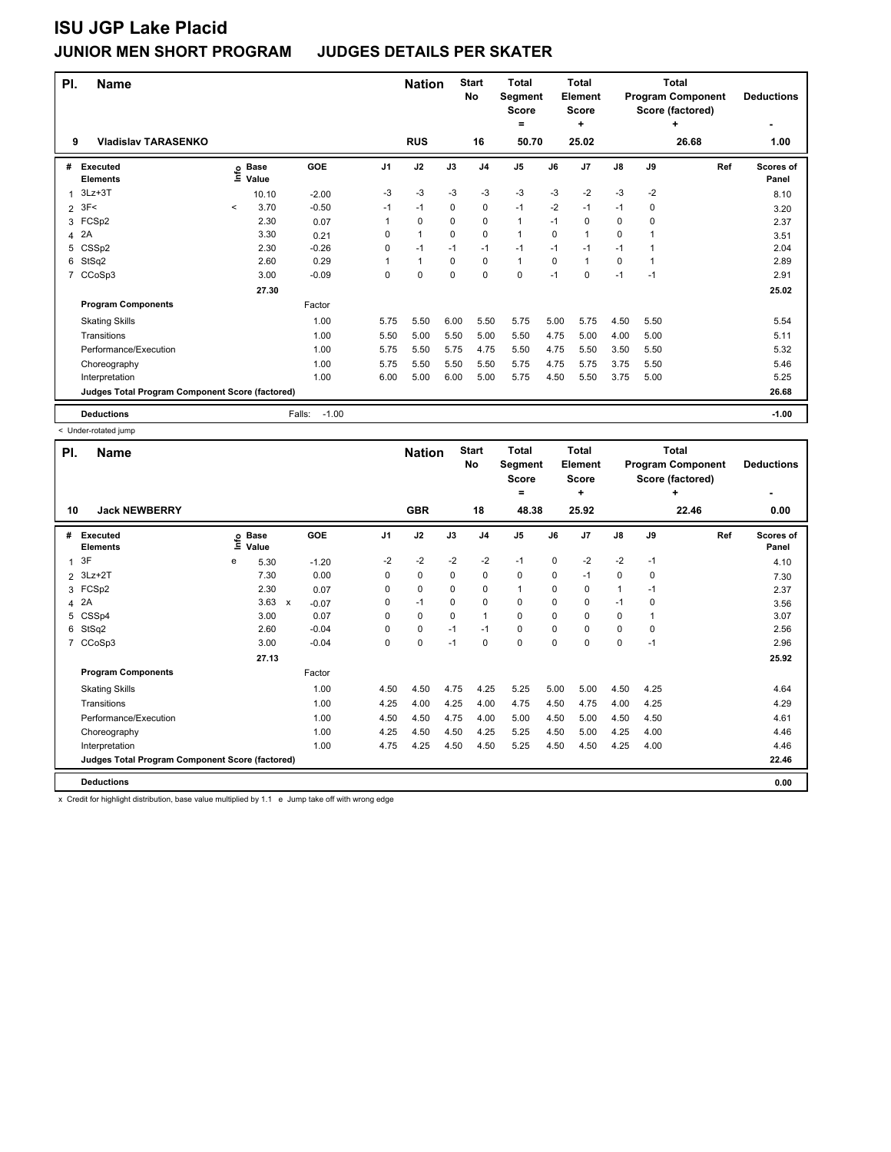| PI.            | <b>Name</b>                                     |         |                      | <b>Nation</b>     |      | <b>Start</b><br>No | <b>Total</b><br>Segment<br><b>Score</b><br>$\equiv$ |                | <b>Total</b><br><b>Element</b><br>Score<br>÷ |          |                | <b>Total</b><br><b>Program Component</b><br>Score (factored)<br>٠ | <b>Deductions</b> |       |                           |
|----------------|-------------------------------------------------|---------|----------------------|-------------------|------|--------------------|-----------------------------------------------------|----------------|----------------------------------------------|----------|----------------|-------------------------------------------------------------------|-------------------|-------|---------------------------|
| 9              | <b>Vladislav TARASENKO</b>                      |         |                      |                   |      | <b>RUS</b>         |                                                     | 16             | 50.70                                        |          | 25.02          |                                                                   |                   | 26.68 | 1.00                      |
| #              | <b>Executed</b><br><b>Elements</b>              | lnfo    | <b>Base</b><br>Value | GOE               | J1   | J2                 | J3                                                  | J <sub>4</sub> | J <sub>5</sub>                               | J6       | J <sub>7</sub> | $\mathsf{J}8$                                                     | J9                | Ref   | <b>Scores of</b><br>Panel |
| 1              | $3Lz + 3T$                                      |         | 10.10                | $-2.00$           | -3   | -3                 | $-3$                                                | $-3$           | $-3$                                         | $-3$     | $-2$           | $-3$                                                              | $-2$              |       | 8.10                      |
| $\overline{2}$ | 3F<                                             | $\prec$ | 3.70                 | $-0.50$           | $-1$ | $-1$               | $\Omega$                                            | 0              | $-1$                                         | $-2$     | $-1$           | $-1$                                                              | 0                 |       | 3.20                      |
| 3              | FCSp2                                           |         | 2.30                 | 0.07              | 1    | $\mathbf 0$        | $\Omega$                                            | $\mathbf 0$    | 1                                            | $-1$     | 0              | 0                                                                 | $\mathbf 0$       |       | 2.37                      |
| 4              | 2A                                              |         | 3.30                 | 0.21              | 0    | 1                  | $\mathbf 0$                                         | $\mathbf 0$    | 1                                            | 0        | $\overline{1}$ | 0                                                                 |                   |       | 3.51                      |
| 5              | CSSp2                                           |         | 2.30                 | $-0.26$           | 0    | $-1$               | $-1$                                                | $-1$           | $-1$                                         | $-1$     | $-1$           | $-1$                                                              |                   |       | 2.04                      |
| 6              | StSq2                                           |         | 2.60                 | 0.29              |      | 1                  | $\Omega$                                            | 0              | $\mathbf{1}$                                 | $\Omega$ | $\overline{1}$ | 0                                                                 |                   |       | 2.89                      |
| 7              | CCoSp3                                          |         | 3.00                 | $-0.09$           | 0    | 0                  | $\Omega$                                            | $\mathbf 0$    | 0                                            | $-1$     | 0              | $-1$                                                              | $-1$              |       | 2.91                      |
|                |                                                 |         | 27.30                |                   |      |                    |                                                     |                |                                              |          |                |                                                                   |                   |       | 25.02                     |
|                | <b>Program Components</b>                       |         |                      | Factor            |      |                    |                                                     |                |                                              |          |                |                                                                   |                   |       |                           |
|                | <b>Skating Skills</b>                           |         |                      | 1.00              | 5.75 | 5.50               | 6.00                                                | 5.50           | 5.75                                         | 5.00     | 5.75           | 4.50                                                              | 5.50              |       | 5.54                      |
|                | Transitions                                     |         |                      | 1.00              | 5.50 | 5.00               | 5.50                                                | 5.00           | 5.50                                         | 4.75     | 5.00           | 4.00                                                              | 5.00              |       | 5.11                      |
|                | Performance/Execution                           |         |                      | 1.00              | 5.75 | 5.50               | 5.75                                                | 4.75           | 5.50                                         | 4.75     | 5.50           | 3.50                                                              | 5.50              |       | 5.32                      |
|                | Choreography                                    |         |                      | 1.00              | 5.75 | 5.50               | 5.50                                                | 5.50           | 5.75                                         | 4.75     | 5.75           | 3.75                                                              | 5.50              |       | 5.46                      |
|                | Interpretation                                  |         |                      | 1.00              | 6.00 | 5.00               | 6.00                                                | 5.00           | 5.75                                         | 4.50     | 5.50           | 3.75                                                              | 5.00              |       | 5.25                      |
|                | Judges Total Program Component Score (factored) |         |                      |                   |      |                    |                                                     |                |                                              |          |                |                                                                   |                   |       | 26.68                     |
|                | <b>Deductions</b>                               |         |                      | $-1.00$<br>Falls: |      |                    |                                                     |                |                                              |          |                |                                                                   |                   |       | $-1.00$                   |

< Under-rotated jump

| PI.           | <b>Name</b>                                     |      |                      |                           |         |          | <b>Nation</b> |          | <b>Start</b><br><b>No</b> | <b>Total</b><br>Segment<br><b>Score</b><br>$=$ |      | <b>Total</b><br><b>Element</b><br><b>Score</b><br>÷ |               | Total<br><b>Program Component</b><br>Score (factored) | <b>Deductions</b> |                    |
|---------------|-------------------------------------------------|------|----------------------|---------------------------|---------|----------|---------------|----------|---------------------------|------------------------------------------------|------|-----------------------------------------------------|---------------|-------------------------------------------------------|-------------------|--------------------|
| 10            | <b>Jack NEWBERRY</b>                            |      |                      |                           |         |          | <b>GBR</b>    |          | 18                        | 48.38                                          |      | 25.92                                               |               |                                                       | 22.46             | 0.00               |
| #             | <b>Executed</b><br><b>Elements</b>              | lnfo | <b>Base</b><br>Value |                           | GOE     | J1       | J2            | J3       | J <sub>4</sub>            | J <sub>5</sub>                                 | J6   | J <sub>7</sub>                                      | $\mathsf{J}8$ | J9                                                    | Ref               | Scores of<br>Panel |
| 1             | 3F                                              | e    | 5.30                 |                           | $-1.20$ | $-2$     | $-2$          | $-2$     | $-2$                      | $-1$                                           | 0    | $-2$                                                | $-2$          | $-1$                                                  |                   | 4.10               |
| $\mathcal{P}$ | $3Lz+2T$                                        |      | 7.30                 |                           | 0.00    | 0        | 0             | 0        | 0                         | 0                                              | 0    | $-1$                                                | 0             | 0                                                     |                   | 7.30               |
| 3             | FCSp2                                           |      | 2.30                 |                           | 0.07    | 0        | 0             | 0        | 0                         | 1                                              | 0    | 0                                                   | 1             | $-1$                                                  |                   | 2.37               |
| 4             | 2A                                              |      | 3.63                 | $\boldsymbol{\mathsf{x}}$ | $-0.07$ | 0        | $-1$          | $\Omega$ | 0                         | 0                                              | 0    | 0                                                   | $-1$          | 0                                                     |                   | 3.56               |
| 5             | CSSp4                                           |      | 3.00                 |                           | 0.07    | 0        | 0             | $\Omega$ | $\mathbf{1}$              | 0                                              | 0    | $\Omega$                                            | 0             | 1                                                     |                   | 3.07               |
| 6             | StSq2                                           |      | 2.60                 |                           | $-0.04$ | $\Omega$ | $\mathbf 0$   | $-1$     | $-1$                      | 0                                              | 0    | 0                                                   | 0             | $\Omega$                                              |                   | 2.56               |
| 7             | CCoSp3                                          |      | 3.00                 |                           | $-0.04$ | $\Omega$ | $\mathbf 0$   | $-1$     | 0                         | $\Omega$                                       | 0    | $\mathbf 0$                                         | 0             | $-1$                                                  |                   | 2.96               |
|               |                                                 |      | 27.13                |                           |         |          |               |          |                           |                                                |      |                                                     |               |                                                       |                   | 25.92              |
|               | <b>Program Components</b>                       |      |                      |                           | Factor  |          |               |          |                           |                                                |      |                                                     |               |                                                       |                   |                    |
|               | <b>Skating Skills</b>                           |      |                      |                           | 1.00    | 4.50     | 4.50          | 4.75     | 4.25                      | 5.25                                           | 5.00 | 5.00                                                | 4.50          | 4.25                                                  |                   | 4.64               |
|               | Transitions                                     |      |                      |                           | 1.00    | 4.25     | 4.00          | 4.25     | 4.00                      | 4.75                                           | 4.50 | 4.75                                                | 4.00          | 4.25                                                  |                   | 4.29               |
|               | Performance/Execution                           |      |                      |                           | 1.00    | 4.50     | 4.50          | 4.75     | 4.00                      | 5.00                                           | 4.50 | 5.00                                                | 4.50          | 4.50                                                  |                   | 4.61               |
|               | Choreography                                    |      |                      |                           | 1.00    | 4.25     | 4.50          | 4.50     | 4.25                      | 5.25                                           | 4.50 | 5.00                                                | 4.25          | 4.00                                                  |                   | 4.46               |
|               | Interpretation                                  |      |                      |                           | 1.00    | 4.75     | 4.25          | 4.50     | 4.50                      | 5.25                                           | 4.50 | 4.50                                                | 4.25          | 4.00                                                  |                   | 4.46               |
|               | Judges Total Program Component Score (factored) |      |                      |                           |         |          |               |          |                           |                                                |      |                                                     |               |                                                       |                   | 22.46              |
|               | <b>Deductions</b>                               |      |                      |                           |         |          |               |          |                           |                                                |      |                                                     |               |                                                       |                   | 0.00               |

x Credit for highlight distribution, base value multiplied by 1.1 e Jump take off with wrong edge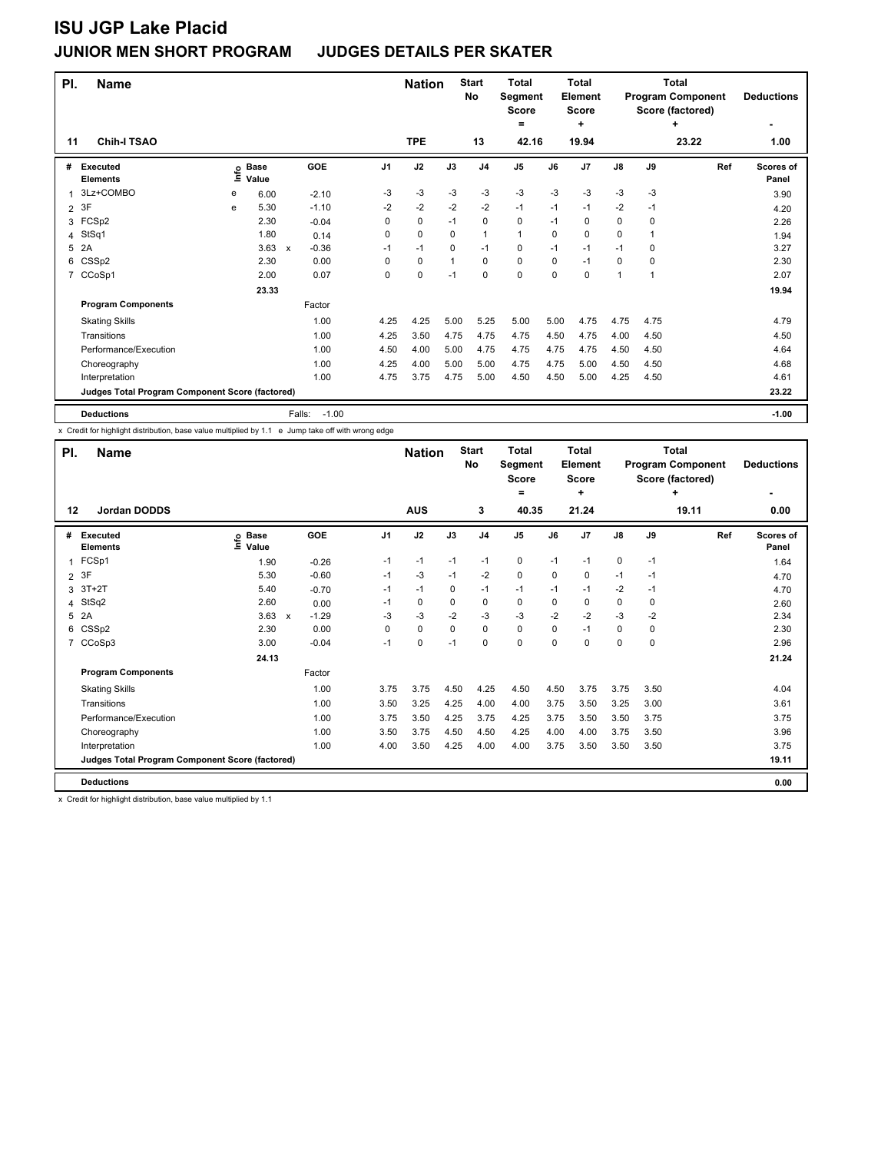| PI.            | <b>Name</b>                                     |      |                      |                         |                | <b>Nation</b> |              | <b>Start</b><br>No | <b>Total</b><br>Segment<br><b>Score</b> |          | <b>Total</b><br>Element<br>Score |               |      | <b>Total</b><br><b>Program Component</b><br>Score (factored) | <b>Deductions</b>         |
|----------------|-------------------------------------------------|------|----------------------|-------------------------|----------------|---------------|--------------|--------------------|-----------------------------------------|----------|----------------------------------|---------------|------|--------------------------------------------------------------|---------------------------|
| 11             | <b>Chih-I TSAO</b>                              |      |                      |                         |                | <b>TPE</b>    |              | 13                 | $\equiv$<br>42.16                       |          | ÷<br>19.94                       |               |      | ٠<br>23.22                                                   | 1.00                      |
| #              | Executed<br><b>Elements</b>                     | ١nfo | <b>Base</b><br>Value | <b>GOE</b>              | J <sub>1</sub> | J2            | J3           | J <sub>4</sub>     | J5                                      | J6       | J <sub>7</sub>                   | $\mathsf{J}8$ | J9   | Ref                                                          | <b>Scores of</b><br>Panel |
| 1              | 3Lz+COMBO                                       | е    | 6.00                 | $-2.10$                 | -3             | $-3$          | $-3$         | $-3$               | $-3$                                    | $-3$     | $-3$                             | $-3$          | $-3$ |                                                              | 3.90                      |
| $\overline{2}$ | 3F                                              | e    | 5.30                 | $-1.10$                 | $-2$           | $-2$          | $-2$         | $-2$               | $-1$                                    | $-1$     | $-1$                             | $-2$          | $-1$ |                                                              | 4.20                      |
| 3              | FCSp2                                           |      | 2.30                 | $-0.04$                 | 0              | $\mathbf 0$   | $-1$         | $\mathbf 0$        | 0                                       | $-1$     | 0                                | 0             | 0    |                                                              | 2.26                      |
| 4              | StSq1                                           |      | 1.80                 | 0.14                    | 0              | $\mathbf 0$   | $\mathbf 0$  | $\mathbf{1}$       | $\mathbf{1}$                            | 0        | $\mathbf 0$                      | $\mathbf 0$   |      |                                                              | 1.94                      |
| 5              | 2A                                              |      | 3.63                 | $-0.36$<br>$\mathsf{x}$ | $-1$           | $-1$          | 0            | $-1$               | 0                                       | $-1$     | $-1$                             | $-1$          | 0    |                                                              | 3.27                      |
|                | 6 CSSp2                                         |      | 2.30                 | 0.00                    | 0              | $\mathbf 0$   | $\mathbf{1}$ | $\Omega$           | 0                                       | $\Omega$ | $-1$                             | 0             | 0    |                                                              | 2.30                      |
| $\overline{7}$ | CCoSp1                                          |      | 2.00                 | 0.07                    | 0              | $\mathbf 0$   | $-1$         | $\mathbf 0$        | 0                                       | 0        | 0                                | 1             |      |                                                              | 2.07                      |
|                |                                                 |      | 23.33                |                         |                |               |              |                    |                                         |          |                                  |               |      |                                                              | 19.94                     |
|                | <b>Program Components</b>                       |      |                      | Factor                  |                |               |              |                    |                                         |          |                                  |               |      |                                                              |                           |
|                | <b>Skating Skills</b>                           |      |                      | 1.00                    | 4.25           | 4.25          | 5.00         | 5.25               | 5.00                                    | 5.00     | 4.75                             | 4.75          | 4.75 |                                                              | 4.79                      |
|                | Transitions                                     |      |                      | 1.00                    | 4.25           | 3.50          | 4.75         | 4.75               | 4.75                                    | 4.50     | 4.75                             | 4.00          | 4.50 |                                                              | 4.50                      |
|                | Performance/Execution                           |      |                      | 1.00                    | 4.50           | 4.00          | 5.00         | 4.75               | 4.75                                    | 4.75     | 4.75                             | 4.50          | 4.50 |                                                              | 4.64                      |
|                | Choreography                                    |      |                      | 1.00                    | 4.25           | 4.00          | 5.00         | 5.00               | 4.75                                    | 4.75     | 5.00                             | 4.50          | 4.50 |                                                              | 4.68                      |
|                | Interpretation                                  |      |                      | 1.00                    | 4.75           | 3.75          | 4.75         | 5.00               | 4.50                                    | 4.50     | 5.00                             | 4.25          | 4.50 |                                                              | 4.61                      |
|                | Judges Total Program Component Score (factored) |      |                      |                         |                |               |              |                    |                                         |          |                                  |               |      |                                                              | 23.22                     |
|                | <b>Deductions</b>                               |      |                      | $-1.00$<br>Falls:       |                |               |              |                    |                                         |          |                                  |               |      |                                                              | $-1.00$                   |

x Credit for highlight distribution, base value multiplied by 1.1 e Jump take off with wrong edge

| PI.            | <b>Name</b>                                     |                            |                                      |      | <b>Nation</b> |          | <b>Start</b><br>No | <b>Total</b><br>Segment<br><b>Score</b><br>= |          | <b>Total</b><br><b>Element</b><br><b>Score</b><br>÷ | <b>Total</b><br><b>Program Component</b><br>Score (factored)<br>٠<br>19.11 |      |     | <b>Deductions</b>  |
|----------------|-------------------------------------------------|----------------------------|--------------------------------------|------|---------------|----------|--------------------|----------------------------------------------|----------|-----------------------------------------------------|----------------------------------------------------------------------------|------|-----|--------------------|
| 12             | Jordan DODDS                                    |                            |                                      |      | <b>AUS</b>    |          | 3                  | 40.35                                        |          | 21.24                                               |                                                                            |      |     | 0.00               |
| #              | <b>Executed</b><br><b>Elements</b>              | e Base<br>E Value<br>Value | GOE                                  | J1   | J2            | J3       | J <sub>4</sub>     | J5                                           | J6       | J7                                                  | $\mathsf{J}8$                                                              | J9   | Ref | Scores of<br>Panel |
| $\mathbf{1}$   | FCSp1                                           | 1.90                       | $-0.26$                              | $-1$ | $-1$          | $-1$     | $-1$               | 0                                            | $-1$     | $-1$                                                | 0                                                                          | $-1$ |     | 1.64               |
|                | 2 3F                                            | 5.30                       | $-0.60$                              | $-1$ | $-3$          | $-1$     | $-2$               | $\mathbf 0$                                  | 0        | 0                                                   | $-1$                                                                       | $-1$ |     | 4.70               |
| 3              | $3T+2T$                                         | 5.40                       | $-0.70$                              | -1   | $-1$          | 0        | $-1$               | $-1$                                         | $-1$     | $-1$                                                | $-2$                                                                       | $-1$ |     | 4.70               |
| 4              | StSq2                                           | 2.60                       | 0.00                                 | $-1$ | 0             | $\Omega$ | 0                  | 0                                            | 0        | 0                                                   | 0                                                                          | 0    |     | 2.60               |
| 5              | 2A                                              | 3.63                       | $-1.29$<br>$\boldsymbol{\mathsf{x}}$ | -3   | $-3$          | $-2$     | $-3$               | $-3$                                         | $-2$     | $-2$                                                | $-3$                                                                       | $-2$ |     | 2.34               |
| 6              | CSSp2                                           | 2.30                       | 0.00                                 | 0    | $\mathbf 0$   | 0        | $\mathbf 0$        | 0                                            | $\Omega$ | $-1$                                                | 0                                                                          | 0    |     | 2.30               |
| $\overline{7}$ | CCoSp3                                          | 3.00                       | $-0.04$                              | $-1$ | $\mathbf 0$   | $-1$     | $\mathbf 0$        | $\mathbf 0$                                  | $\Omega$ | 0                                                   | 0                                                                          | 0    |     | 2.96               |
|                |                                                 | 24.13                      |                                      |      |               |          |                    |                                              |          |                                                     |                                                                            |      |     | 21.24              |
|                | <b>Program Components</b>                       |                            | Factor                               |      |               |          |                    |                                              |          |                                                     |                                                                            |      |     |                    |
|                | <b>Skating Skills</b>                           |                            | 1.00                                 | 3.75 | 3.75          | 4.50     | 4.25               | 4.50                                         | 4.50     | 3.75                                                | 3.75                                                                       | 3.50 |     | 4.04               |
|                | Transitions                                     |                            | 1.00                                 | 3.50 | 3.25          | 4.25     | 4.00               | 4.00                                         | 3.75     | 3.50                                                | 3.25                                                                       | 3.00 |     | 3.61               |
|                | Performance/Execution                           |                            | 1.00                                 | 3.75 | 3.50          | 4.25     | 3.75               | 4.25                                         | 3.75     | 3.50                                                | 3.50                                                                       | 3.75 |     | 3.75               |
|                | Choreography                                    |                            | 1.00                                 | 3.50 | 3.75          | 4.50     | 4.50               | 4.25                                         | 4.00     | 4.00                                                | 3.75                                                                       | 3.50 |     | 3.96               |
|                | Interpretation                                  |                            | 1.00                                 | 4.00 | 3.50          | 4.25     | 4.00               | 4.00                                         | 3.75     | 3.50                                                | 3.50                                                                       | 3.50 |     | 3.75               |
|                | Judges Total Program Component Score (factored) |                            |                                      |      |               |          |                    |                                              |          |                                                     |                                                                            |      |     | 19.11              |
|                | <b>Deductions</b>                               |                            |                                      |      |               |          |                    |                                              |          |                                                     |                                                                            |      |     | 0.00               |

x Credit for highlight distribution, base value multiplied by 1.1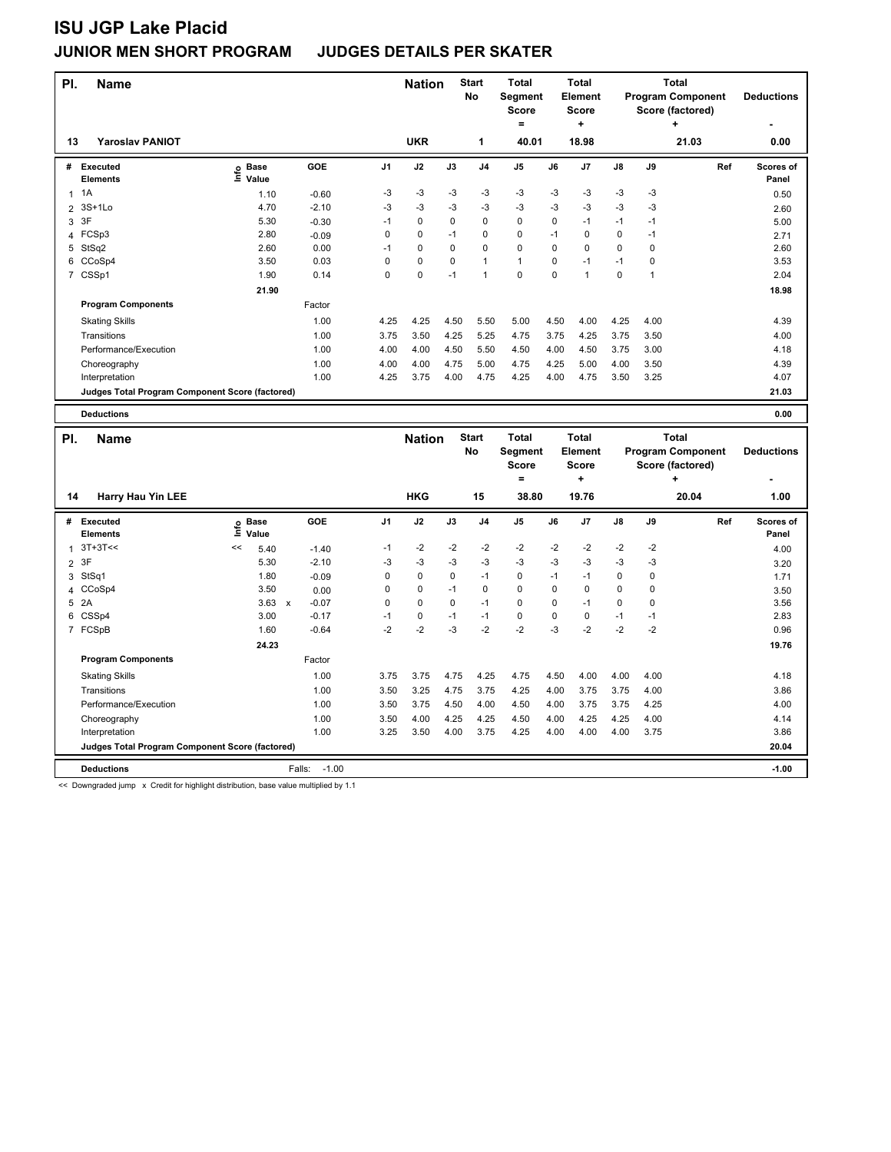| PI. | <b>Name</b>                                     |                              |         |                |             |          |                | <b>Total</b><br>Segment<br><b>Score</b><br>= |      | <b>Total</b><br><b>Element</b><br><b>Score</b><br>÷ |      | <b>Total</b><br><b>Program Component</b><br>Score (factored) | <b>Deductions</b> |                           |
|-----|-------------------------------------------------|------------------------------|---------|----------------|-------------|----------|----------------|----------------------------------------------|------|-----------------------------------------------------|------|--------------------------------------------------------------|-------------------|---------------------------|
| 13  | <b>Yaroslav PANIOT</b>                          |                              |         |                | <b>UKR</b>  |          | 1              | 40.01                                        |      | 18.98                                               |      |                                                              | 21.03             | 0.00                      |
| #   | <b>Executed</b><br><b>Elements</b>              | <b>Base</b><br>١nfo<br>Value | GOE     | J <sub>1</sub> | J2          | J3       | J <sub>4</sub> | J <sub>5</sub>                               | J6   | J <sub>7</sub>                                      | J8   | J9                                                           | Ref               | <b>Scores of</b><br>Panel |
| 1   | 1A                                              | 1.10                         | $-0.60$ | -3             | $-3$        | -3       | $-3$           | $-3$                                         | $-3$ | $-3$                                                | $-3$ | -3                                                           |                   | 0.50                      |
| 2   | 3S+1Lo                                          | 4.70                         | $-2.10$ | -3             | $-3$        | -3       | $-3$           | $-3$                                         | $-3$ | $-3$                                                | $-3$ | -3                                                           |                   | 2.60                      |
| 3   | 3F                                              | 5.30                         | $-0.30$ | $-1$           | $\mathbf 0$ | $\Omega$ | $\mathbf 0$    | 0                                            | 0    | $-1$                                                | $-1$ | $-1$                                                         |                   | 5.00                      |
| 4   | FCSp3                                           | 2.80                         | $-0.09$ | 0              | 0           | $-1$     | 0              | 0                                            | $-1$ | 0                                                   | 0    | $-1$                                                         |                   | 2.71                      |
| 5   | StSq2                                           | 2.60                         | 0.00    | -1             | 0           | 0        | 0              | 0                                            | 0    | 0                                                   | 0    | 0                                                            |                   | 2.60                      |
| 6   | CCoSp4                                          | 3.50                         | 0.03    | 0              | $\mathbf 0$ | $\Omega$ | $\mathbf{1}$   | $\mathbf{1}$                                 | 0    | $-1$                                                | $-1$ | 0                                                            |                   | 3.53                      |
|     | 7 CSSp1                                         | 1.90                         | 0.14    | 0              | 0           | $-1$     | 1              | $\mathbf 0$                                  | 0    | 1                                                   | 0    | 1                                                            |                   | 2.04                      |
|     |                                                 | 21.90                        |         |                |             |          |                |                                              |      |                                                     |      |                                                              |                   | 18.98                     |
|     | <b>Program Components</b>                       |                              | Factor  |                |             |          |                |                                              |      |                                                     |      |                                                              |                   |                           |
|     | <b>Skating Skills</b>                           |                              | 1.00    | 4.25           | 4.25        | 4.50     | 5.50           | 5.00                                         | 4.50 | 4.00                                                | 4.25 | 4.00                                                         |                   | 4.39                      |
|     | Transitions                                     |                              | 1.00    | 3.75           | 3.50        | 4.25     | 5.25           | 4.75                                         | 3.75 | 4.25                                                | 3.75 | 3.50                                                         |                   | 4.00                      |
|     | Performance/Execution                           |                              | 1.00    | 4.00           | 4.00        | 4.50     | 5.50           | 4.50                                         | 4.00 | 4.50                                                | 3.75 | 3.00                                                         |                   | 4.18                      |
|     | Choreography                                    |                              | 1.00    | 4.00           | 4.00        | 4.75     | 5.00           | 4.75                                         | 4.25 | 5.00                                                | 4.00 | 3.50                                                         |                   | 4.39                      |
|     | Interpretation                                  |                              | 1.00    | 4.25           | 3.75        | 4.00     | 4.75           | 4.25                                         | 4.00 | 4.75                                                | 3.50 | 3.25                                                         |                   | 4.07                      |
|     | Judges Total Program Component Score (factored) |                              |         |                |             |          |                |                                              |      |                                                     |      |                                                              | 21.03             |                           |

**Deductions 0.00**

**Name Deductions - Nation** Start Total **Segment Score = Total Element Score + Total Program Component Score (factored) + PI.** Name **Start PI.** Nation Start **No # Executed Elements Base Value GOE J1 J2 J3 J4 J5 J6 J7 J8 J9 Scores of Panel** 1 5.40 -1.40 -1 -2 -2 -2 -2 -2 -2 -2 -2 **Ref**  3T+3T<< << 4.00 **Info 14 Harry Hau Yin LEE HKG 15 38.80 19.76 20.04 1.00** 2 3F 5.30 -2.10 -3 -3 -3 -3 -3 -3 -3 -3 -3 3.20 3 StSq1 1.80 -0.09 0 0 0 -1 0 -1 -1 0 0 1.71 4 CCoSp4 3.50 0.00 0 0 -1 0 0 0 0 0 0 3.50 5 2A 3.63 x -0.07 0 0 0 -1 0 0 -1 0 0 3.56 6 CSSp4 3.00 -0.17 -1 0 -1 -1 0 0 0 -1 -1 2.83 7 FCSpB 1.60 -0.64 -2 -2 -3 -2 -2 -3 -2 -2 -2 0.96  **24.23 19.76 Program Components**  Skating Skills 1.00 3.75 3.75 4.75 4.25 4.75 4.50 4.00 4.00 4.00 Factor 1.00 4.18 Transitions 1.00 3.50 3.25 4.75 3.75 4.25 4.00 3.75 3.75 4.00 3.86 Performance/Execution 1.00 3.50 3.75 4.50 4.00 4.50 4.00 3.75 3.75 4.25 4.00 Choreography 1.00 3.50 4.00 4.25 4.25 4.50 4.00 4.25 4.25 4.00 4.14 Interpretation 1.00 3.25 3.50 4.00 3.75 4.25 4.00 4.00 4.00 3.75 3.86 **Deductions** Falls: -1.00 **-1.00 Judges Total Program Component Score (factored) 20.04**

<< Downgraded jump x Credit for highlight distribution, base value multiplied by 1.1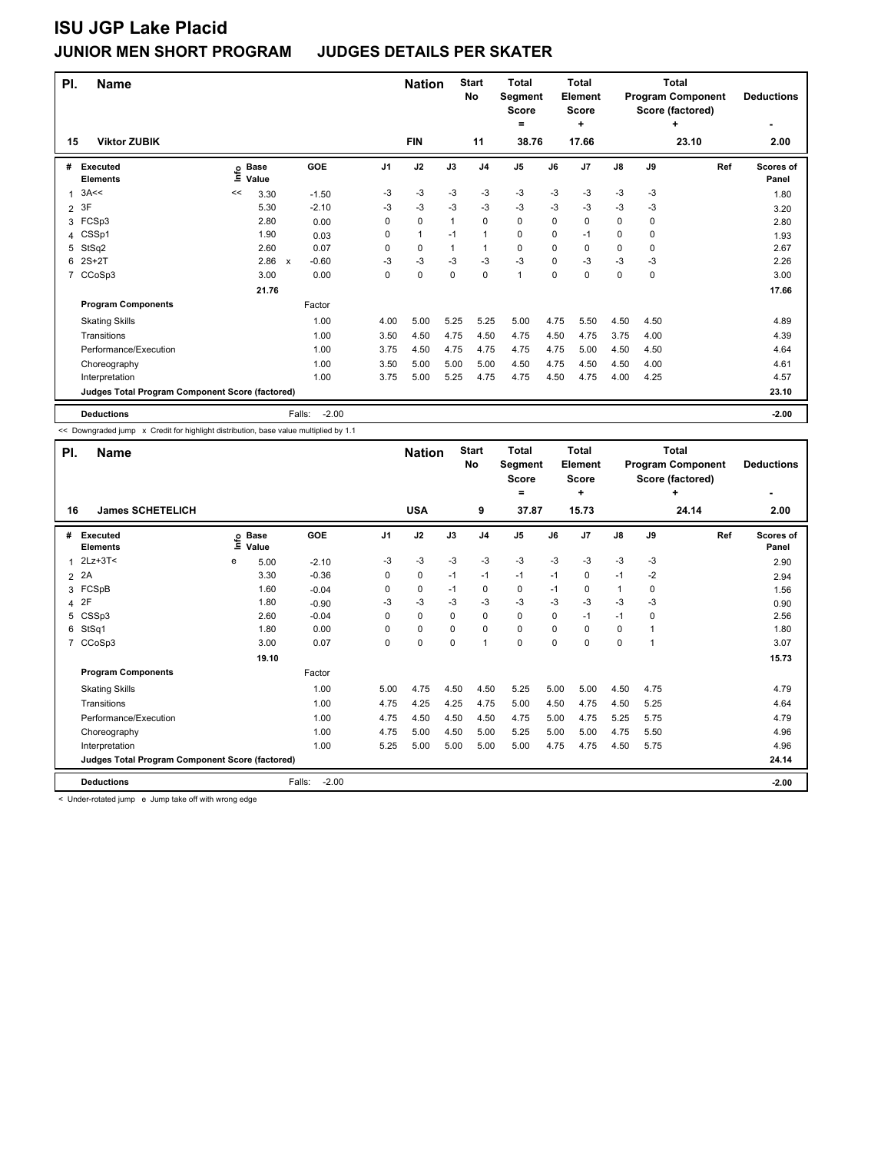| PI.            | <b>Name</b>                                     | <b>Nation</b> | <b>Start</b><br>No   |                                      | Total<br>Segment<br><b>Score</b> |              | Total<br>Element<br><b>Score</b> |                | Total<br><b>Program Component</b><br>Score (factored) | <b>Deductions</b> |                |             |             |            |                           |
|----------------|-------------------------------------------------|---------------|----------------------|--------------------------------------|----------------------------------|--------------|----------------------------------|----------------|-------------------------------------------------------|-------------------|----------------|-------------|-------------|------------|---------------------------|
| 15             | <b>Viktor ZUBIK</b>                             |               |                      |                                      |                                  | <b>FIN</b>   |                                  | 11             | ۰<br>38.76                                            |                   | ÷<br>17.66     |             |             | ٠<br>23.10 | ۰<br>2.00                 |
|                |                                                 |               |                      |                                      |                                  |              |                                  |                |                                                       |                   |                |             |             |            |                           |
| #              | Executed<br><b>Elements</b>                     | ١nfo          | <b>Base</b><br>Value | GOE                                  | J1                               | J2           | J3                               | J <sub>4</sub> | J <sub>5</sub>                                        | J6                | J <sub>7</sub> | J8          | J9          | Ref        | <b>Scores of</b><br>Panel |
| $\overline{1}$ | 3A<<                                            | <<            | 3.30                 | $-1.50$                              | -3                               | $-3$         | $-3$                             | $-3$           | $-3$                                                  | $-3$              | $-3$           | $-3$        | $-3$        |            | 1.80                      |
| 2              | 3F                                              |               | 5.30                 | $-2.10$                              | $-3$                             | $-3$         | $-3$                             | $-3$           | $-3$                                                  | -3                | $-3$           | $-3$        | $-3$        |            | 3.20                      |
| 3              | FCSp3                                           |               | 2.80                 | 0.00                                 | 0                                | $\mathbf 0$  |                                  | 0              | 0                                                     | $\mathbf 0$       | $\mathbf 0$    | 0           | $\mathbf 0$ |            | 2.80                      |
| 4              | CSSp1                                           |               | 1.90                 | 0.03                                 | 0                                | $\mathbf{1}$ | $-1$                             | $\mathbf{1}$   | 0                                                     | $\mathbf 0$       | $-1$           | $\mathbf 0$ | 0           |            | 1.93                      |
| 5              | StSq2                                           |               | 2.60                 | 0.07                                 | 0                                | 0            | $\mathbf{1}$                     | $\mathbf{1}$   | 0                                                     | 0                 | 0              | 0           | 0           |            | 2.67                      |
| 6              | $2S+2T$                                         |               | 2.86                 | $-0.60$<br>$\boldsymbol{\mathsf{x}}$ | $-3$                             | $-3$         | $-3$                             | $-3$           | $-3$                                                  | 0                 | $-3$           | $-3$        | $-3$        |            | 2.26                      |
| 7              | CCoSp3                                          |               | 3.00                 | 0.00                                 | 0                                | $\mathbf 0$  | 0                                | 0              | 1                                                     | 0                 | 0              | 0           | 0           |            | 3.00                      |
|                |                                                 |               | 21.76                |                                      |                                  |              |                                  |                |                                                       |                   |                |             |             |            | 17.66                     |
|                | <b>Program Components</b>                       |               |                      | Factor                               |                                  |              |                                  |                |                                                       |                   |                |             |             |            |                           |
|                | <b>Skating Skills</b>                           |               |                      | 1.00                                 | 4.00                             | 5.00         | 5.25                             | 5.25           | 5.00                                                  | 4.75              | 5.50           | 4.50        | 4.50        |            | 4.89                      |
|                | Transitions                                     |               |                      | 1.00                                 | 3.50                             | 4.50         | 4.75                             | 4.50           | 4.75                                                  | 4.50              | 4.75           | 3.75        | 4.00        |            | 4.39                      |
|                | Performance/Execution                           |               |                      | 1.00                                 | 3.75                             | 4.50         | 4.75                             | 4.75           | 4.75                                                  | 4.75              | 5.00           | 4.50        | 4.50        |            | 4.64                      |
|                | Choreography                                    |               |                      | 1.00                                 | 3.50                             | 5.00         | 5.00                             | 5.00           | 4.50                                                  | 4.75              | 4.50           | 4.50        | 4.00        |            | 4.61                      |
|                | Interpretation                                  |               |                      | 1.00                                 | 3.75                             | 5.00         | 5.25                             | 4.75           | 4.75                                                  | 4.50              | 4.75           | 4.00        | 4.25        |            | 4.57                      |
|                | Judges Total Program Component Score (factored) |               |                      |                                      |                                  |              |                                  |                |                                                       |                   |                |             |             |            | 23.10                     |
|                | <b>Deductions</b>                               |               |                      | $-2.00$<br>Falls:                    |                                  |              |                                  |                |                                                       |                   |                |             |             |            | $-2.00$                   |

<< Downgraded jump x Credit for highlight distribution, base value multiplied by 1.1

| PI.            | <b>Name</b>                                     |   | <b>Nation</b>              |                   | <b>Start</b><br>No | <b>Total</b><br>Segment<br><b>Score</b><br>$=$ |             | Total<br>Element<br><b>Score</b><br>٠ |       | Total<br><b>Program Component</b><br>Score (factored) | <b>Deductions</b> |               |          |       |                    |
|----------------|-------------------------------------------------|---|----------------------------|-------------------|--------------------|------------------------------------------------|-------------|---------------------------------------|-------|-------------------------------------------------------|-------------------|---------------|----------|-------|--------------------|
| 16             | <b>James SCHETELICH</b>                         |   |                            |                   |                    | <b>USA</b>                                     |             | 9                                     | 37.87 |                                                       | 15.73             |               |          | 24.14 | 2.00               |
| #              | <b>Executed</b><br><b>Elements</b>              |   | e Base<br>E Value<br>Value | <b>GOE</b>        | J1                 | J2                                             | J3          | J <sub>4</sub>                        | J5    | J6                                                    | J7                | $\mathsf{J}8$ | J9       | Ref   | Scores of<br>Panel |
|                | $2Lz + 3T <$                                    | e | 5.00                       | $-2.10$           | -3                 | -3                                             | $-3$        | $-3$                                  | $-3$  | $-3$                                                  | -3                | $-3$          | -3       |       | 2.90               |
| $\overline{2}$ | 2A                                              |   | 3.30                       | $-0.36$           | 0                  | 0                                              | $-1$        | $-1$                                  | $-1$  | $-1$                                                  | 0                 | $-1$          | $-2$     |       | 2.94               |
| 3              | FCSpB                                           |   | 1.60                       | $-0.04$           | 0                  | 0                                              | $-1$        | 0                                     | 0     | $-1$                                                  | 0                 | 1             | $\Omega$ |       | 1.56               |
| 4              | 2F                                              |   | 1.80                       | $-0.90$           | -3                 | -3                                             | -3          | $-3$                                  | $-3$  | -3                                                    | $-3$              | $-3$          | -3       |       | 0.90               |
| 5              | CSSp3                                           |   | 2.60                       | $-0.04$           | 0                  | 0                                              | 0           | 0                                     | 0     | 0                                                     | $-1$              | $-1$          | 0        |       | 2.56               |
| 6              | StSq1                                           |   | 1.80                       | 0.00              | 0                  | 0                                              | $\mathbf 0$ | 0                                     | 0     | 0                                                     | 0                 | 0             | 1        |       | 1.80               |
| $\overline{7}$ | CCoSp3                                          |   | 3.00                       | 0.07              | 0                  | 0                                              | 0           | $\overline{1}$                        | 0     | 0                                                     | 0                 | 0             | 1        |       | 3.07               |
|                |                                                 |   | 19.10                      |                   |                    |                                                |             |                                       |       |                                                       |                   |               |          |       | 15.73              |
|                | <b>Program Components</b>                       |   |                            | Factor            |                    |                                                |             |                                       |       |                                                       |                   |               |          |       |                    |
|                | <b>Skating Skills</b>                           |   |                            | 1.00              | 5.00               | 4.75                                           | 4.50        | 4.50                                  | 5.25  | 5.00                                                  | 5.00              | 4.50          | 4.75     |       | 4.79               |
|                | Transitions                                     |   |                            | 1.00              | 4.75               | 4.25                                           | 4.25        | 4.75                                  | 5.00  | 4.50                                                  | 4.75              | 4.50          | 5.25     |       | 4.64               |
|                | Performance/Execution                           |   |                            | 1.00              | 4.75               | 4.50                                           | 4.50        | 4.50                                  | 4.75  | 5.00                                                  | 4.75              | 5.25          | 5.75     |       | 4.79               |
|                | Choreography                                    |   |                            | 1.00              | 4.75               | 5.00                                           | 4.50        | 5.00                                  | 5.25  | 5.00                                                  | 5.00              | 4.75          | 5.50     |       | 4.96               |
|                | Interpretation                                  |   |                            | 1.00              | 5.25               | 5.00                                           | 5.00        | 5.00                                  | 5.00  | 4.75                                                  | 4.75              | 4.50          | 5.75     |       | 4.96               |
|                | Judges Total Program Component Score (factored) |   |                            |                   |                    |                                                |             |                                       |       |                                                       |                   |               |          |       | 24.14              |
|                | <b>Deductions</b>                               |   |                            | $-2.00$<br>Falls: |                    |                                                |             |                                       |       |                                                       |                   |               |          |       | $-2.00$            |

< Under-rotated jump e Jump take off with wrong edge